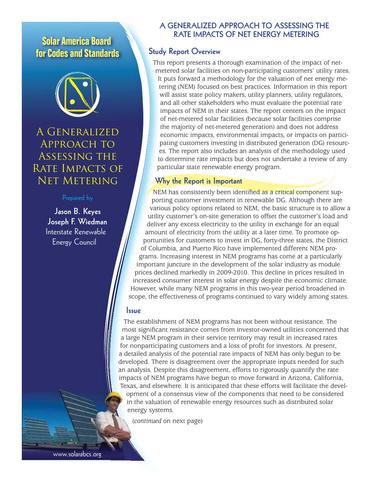## **Solar America Board for Codes and Standards**



# A Generalized Approach to Assessing the RATE IMPACTS OF Net Metering

**Jason B. Keyes Joseph F. Wiedman** Interstate Renewable Energy Council

## **A GENERALIZED APPROACH TO ASSESSING THE RATE IMPACTS OF NET ENERGY METERING**

## **Study Report Overview**

This report presents a thorough examination of the impact of netmetered solar facilities on non-participating customers' utility rates. It puts forward a methodology for the valuation of net energy metering (NEM) focused on best practices. Information in this report will assist state policy makers, utility planners, utility regulators, and all other stakeholders who must evaluate the potential rate impacts of NEM in their states. The report centers on the impact of net-metered solar facilities (because solar facilities comprise the majority of net-metered generation) and does not address economic impacts, environmental impacts, or impacts on participating customers investing in distributed generation (DG) resources. The report also includes an analysis of the methodology used to determine rate impacts but does not undertake a review of any particular state renewable energy program.

### **Why the Report is Important**

NEM has consistently been identified as a critical component supporting customer investment in renewable DG. Although there are various policy options related to NEM, the basic structure is to allow a utility customer's on-site generation to offset the customer's load and deliver any excess electricity to the utility in exchange for an equal amount of electricity from the utility at a later time. To promote opportunities for customers to invest in DG, forty-three states, the District of Columbia, and Puerto Rico have implemented different NEM programs. Increasing interest in NEM programs has come at a particularly important juncture in the development of the solar industry as module prices declined markedly in 2009-2010. This decline in prices resulted in increased consumer interest in solar energy despite the economic climate. However, while many NEM programs in this two-year period broadened in scope, the effectiveness of programs continued to vary widely among states.

#### **Issue**

The establishment of NEM programs has not been without resistance. The most significant resistance comes from investor-owned utilities concerned that a large NEM program in their service territory may result in increased rates for nonparticipating customers and a loss of profit for investors. At present, a detailed analysis of the potential rate impacts of NEM has only begun to be developed. There is disagreement over the appropriate inputs needed for such an analysis. Despite this disagreement, efforts to rigorously quantify the rate impacts of NEM programs have begun to move forward in Arizona, California, Texas, and elsewhere. It is anticipated that these efforts will facilitate the development of a consensus view of the components that need to be considered in the valuation of renewable energy resources such as distributed solar energy systems.

(*continued* on next page)